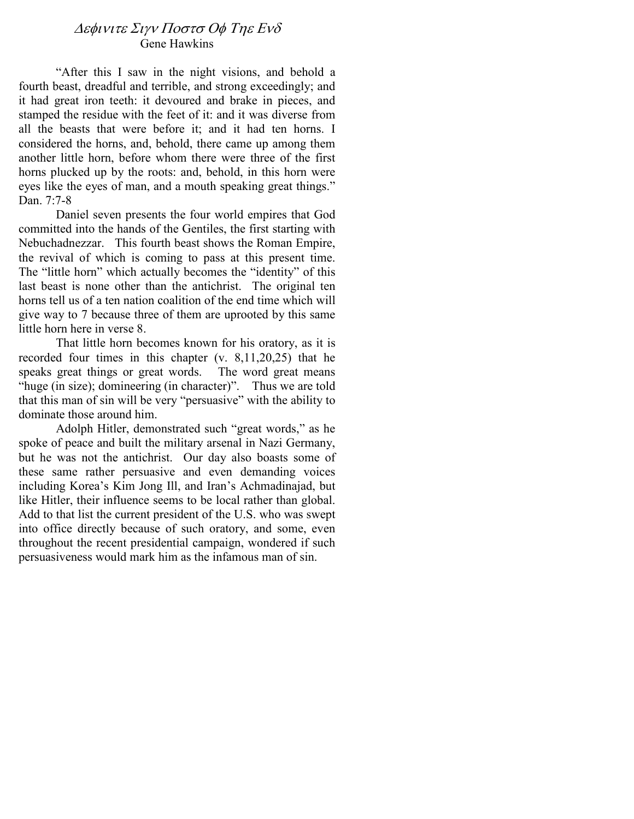# ∆εφινιτε Σιγν Ποστσ Οφ Τηε Ενδ Gene Hawkins

"After this I saw in the night visions, and behold a fourth beast, dreadful and terrible, and strong exceedingly; and it had great iron teeth: it devoured and brake in pieces, and stamped the residue with the feet of it: and it was diverse from all the beasts that were before it; and it had ten horns. I considered the horns, and, behold, there came up among them another little horn, before whom there were three of the first horns plucked up by the roots: and, behold, in this horn were eyes like the eyes of man, and a mouth speaking great things." Dan. 7:7-8

Daniel seven presents the four world empires that God committed into the hands of the Gentiles, the first starting with Nebuchadnezzar. This fourth beast shows the Roman Empire, the revival of which is coming to pass at this present time. The "little horn" which actually becomes the "identity" of this last beast is none other than the antichrist. The original ten horns tell us of a ten nation coalition of the end time which will give way to 7 because three of them are uprooted by this same little horn here in verse 8.

That little horn becomes known for his oratory, as it is recorded four times in this chapter (v. 8,11,20,25) that he speaks great things or great words. The word great means "huge (in size); domineering (in character)". Thus we are told that this man of sin will be very "persuasive" with the ability to dominate those around him.

Adolph Hitler, demonstrated such "great words," as he spoke of peace and built the military arsenal in Nazi Germany, but he was not the antichrist. Our day also boasts some of these same rather persuasive and even demanding voices including Korea's Kim Jong Ill, and Iran's Achmadinajad, but like Hitler, their influence seems to be local rather than global. Add to that list the current president of the U.S. who was swept into office directly because of such oratory, and some, even throughout the recent presidential campaign, wondered if such persuasiveness would mark him as the infamous man of sin.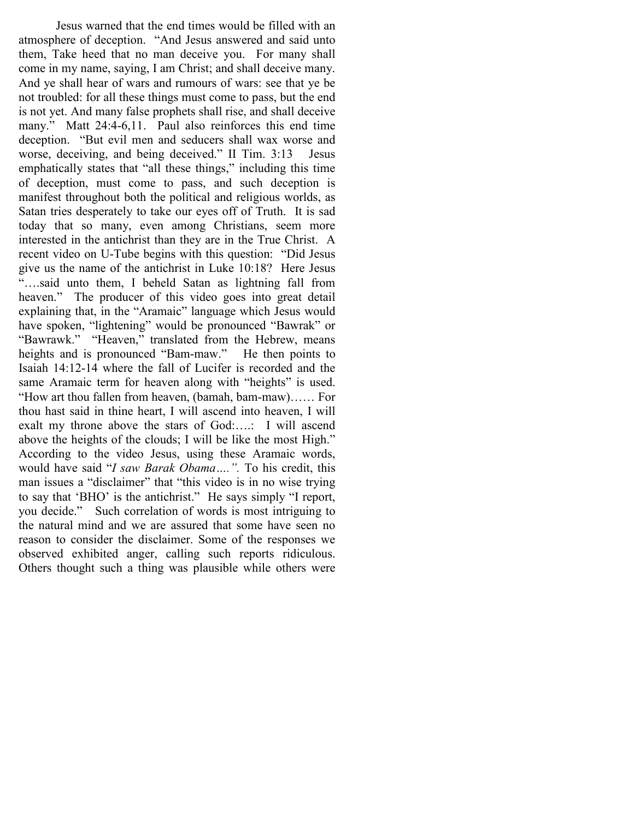Jesus warned that the end times would be filled with an atmosphere of deception. "And Jesus answered and said unto them, Take heed that no man deceive you. For many shall come in my name, saying, I am Christ; and shall deceive many. And ye shall hear of wars and rumours of wars: see that ye be not troubled: for all these things must come to pass, but the end is not yet. And many false prophets shall rise, and shall deceive many." Matt 24:4-6,11. Paul also reinforces this end time deception. "But evil men and seducers shall wax worse and worse, deceiving, and being deceived." II Tim. 3:13 Jesus emphatically states that "all these things," including this time of deception, must come to pass, and such deception is manifest throughout both the political and religious worlds, as Satan tries desperately to take our eyes off of Truth. It is sad today that so many, even among Christians, seem more interested in the antichrist than they are in the True Christ. A recent video on U-Tube begins with this question: "Did Jesus give us the name of the antichrist in Luke 10:18? Here Jesus "….said unto them, I beheld Satan as lightning fall from heaven." The producer of this video goes into great detail explaining that, in the "Aramaic" language which Jesus would have spoken, "lightening" would be pronounced "Bawrak" or "Bawrawk." "Heaven," translated from the Hebrew, means heights and is pronounced "Bam-maw." He then points to Isaiah 14:12-14 where the fall of Lucifer is recorded and the same Aramaic term for heaven along with "heights" is used. "How art thou fallen from heaven, (bamah, bam-maw)…… For thou hast said in thine heart, I will ascend into heaven, I will exalt my throne above the stars of God:….: I will ascend above the heights of the clouds; I will be like the most High." According to the video Jesus, using these Aramaic words, would have said "I saw Barak Obama....". To his credit, this man issues a "disclaimer" that "this video is in no wise trying to say that 'BHO' is the antichrist." He says simply "I report, you decide." Such correlation of words is most intriguing to the natural mind and we are assured that some have seen no reason to consider the disclaimer. Some of the responses we observed exhibited anger, calling such reports ridiculous. Others thought such a thing was plausible while others were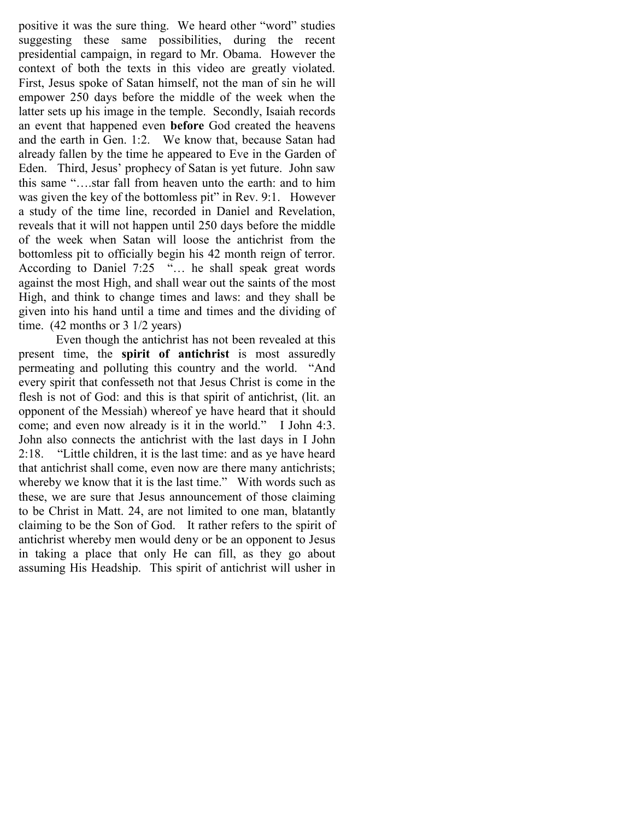positive it was the sure thing. We heard other "word" studies suggesting these same possibilities, during the recent presidential campaign, in regard to Mr. Obama. However the context of both the texts in this video are greatly violated. First, Jesus spoke of Satan himself, not the man of sin he will empower 250 days before the middle of the week when the latter sets up his image in the temple. Secondly, Isaiah records an event that happened even before God created the heavens and the earth in Gen. 1:2. We know that, because Satan had already fallen by the time he appeared to Eve in the Garden of Eden. Third, Jesus' prophecy of Satan is yet future. John saw this same "….star fall from heaven unto the earth: and to him was given the key of the bottomless pit" in Rev. 9:1. However a study of the time line, recorded in Daniel and Revelation, reveals that it will not happen until 250 days before the middle of the week when Satan will loose the antichrist from the bottomless pit to officially begin his 42 month reign of terror. According to Daniel 7:25 "... he shall speak great words against the most High, and shall wear out the saints of the most High, and think to change times and laws: and they shall be given into his hand until a time and times and the dividing of time. (42 months or 3 1/2 years)

Even though the antichrist has not been revealed at this present time, the **spirit of antichrist** is most assuredly permeating and polluting this country and the world. "And every spirit that confesseth not that Jesus Christ is come in the flesh is not of God: and this is that spirit of antichrist, (lit. an opponent of the Messiah) whereof ye have heard that it should come; and even now already is it in the world." I John 4:3. John also connects the antichrist with the last days in I John 2:18. "Little children, it is the last time: and as ye have heard that antichrist shall come, even now are there many antichrists; whereby we know that it is the last time." With words such as these, we are sure that Jesus announcement of those claiming to be Christ in Matt. 24, are not limited to one man, blatantly claiming to be the Son of God. It rather refers to the spirit of antichrist whereby men would deny or be an opponent to Jesus in taking a place that only He can fill, as they go about assuming His Headship. This spirit of antichrist will usher in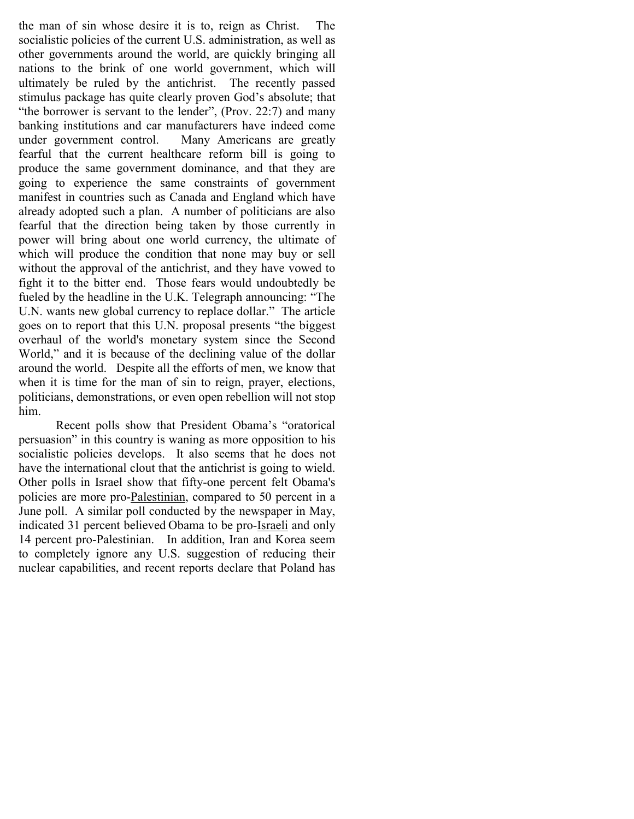the man of sin whose desire it is to, reign as Christ. The socialistic policies of the current U.S. administration, as well as other governments around the world, are quickly bringing all nations to the brink of one world government, which will ultimately be ruled by the antichrist. The recently passed stimulus package has quite clearly proven God's absolute; that "the borrower is servant to the lender", (Prov. 22:7) and many banking institutions and car manufacturers have indeed come under government control. Many Americans are greatly fearful that the current healthcare reform bill is going to produce the same government dominance, and that they are going to experience the same constraints of government manifest in countries such as Canada and England which have already adopted such a plan. A number of politicians are also fearful that the direction being taken by those currently in power will bring about one world currency, the ultimate of which will produce the condition that none may buy or sell without the approval of the antichrist, and they have vowed to fight it to the bitter end. Those fears would undoubtedly be fueled by the headline in the U.K. Telegraph announcing: "The U.N. wants new global currency to replace dollar." The article goes on to report that this U.N. proposal presents "the biggest overhaul of the world's monetary system since the Second World," and it is because of the declining value of the dollar around the world. Despite all the efforts of men, we know that when it is time for the man of sin to reign, prayer, elections, politicians, demonstrations, or even open rebellion will not stop him.

Recent polls show that President Obama's "oratorical persuasion" in this country is waning as more opposition to his socialistic policies develops. It also seems that he does not have the international clout that the antichrist is going to wield. Other polls in Israel show that fifty-one percent felt Obama's policies are more pro-Palestinian, compared to 50 percent in a June poll. A similar poll conducted by the newspaper in May, indicated 31 percent believed Obama to be pro-Israeli and only 14 percent pro-Palestinian. In addition, Iran and Korea seem to completely ignore any U.S. suggestion of reducing their nuclear capabilities, and recent reports declare that Poland has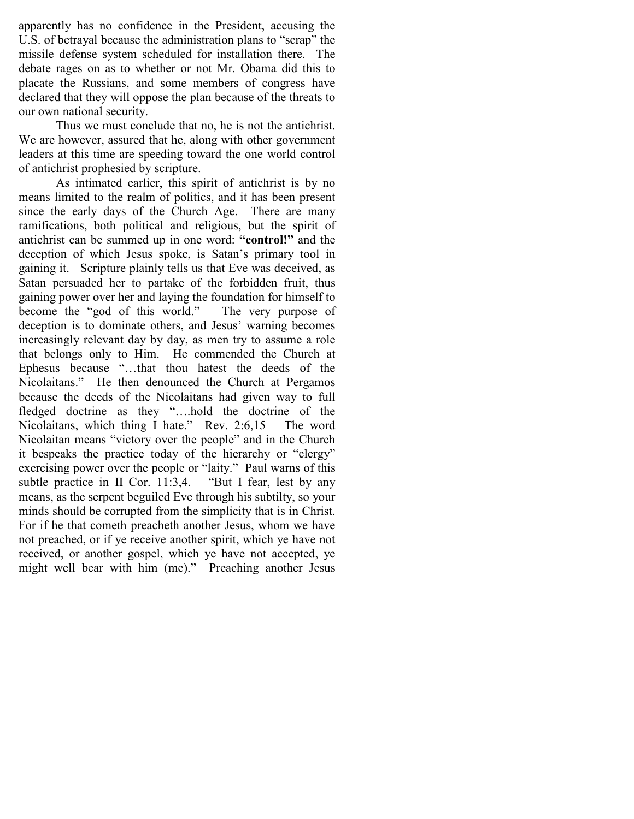apparently has no confidence in the President, accusing the U.S. of betrayal because the administration plans to "scrap" the missile defense system scheduled for installation there. The debate rages on as to whether or not Mr. Obama did this to placate the Russians, and some members of congress have declared that they will oppose the plan because of the threats to our own national security.

Thus we must conclude that no, he is not the antichrist. We are however, assured that he, along with other government leaders at this time are speeding toward the one world control of antichrist prophesied by scripture.

As intimated earlier, this spirit of antichrist is by no means limited to the realm of politics, and it has been present since the early days of the Church Age. There are many ramifications, both political and religious, but the spirit of antichrist can be summed up in one word: "control!" and the deception of which Jesus spoke, is Satan's primary tool in gaining it. Scripture plainly tells us that Eve was deceived, as Satan persuaded her to partake of the forbidden fruit, thus gaining power over her and laying the foundation for himself to become the "god of this world." The very purpose of deception is to dominate others, and Jesus' warning becomes increasingly relevant day by day, as men try to assume a role that belongs only to Him. He commended the Church at Ephesus because "…that thou hatest the deeds of the Nicolaitans." He then denounced the Church at Pergamos because the deeds of the Nicolaitans had given way to full fledged doctrine as they "….hold the doctrine of the Nicolaitans, which thing I hate." Rev. 2:6,15 The word Nicolaitan means "victory over the people" and in the Church it bespeaks the practice today of the hierarchy or "clergy" exercising power over the people or "laity." Paul warns of this subtle practice in II Cor. 11:3,4. "But I fear, lest by any means, as the serpent beguiled Eve through his subtilty, so your minds should be corrupted from the simplicity that is in Christ. For if he that cometh preacheth another Jesus, whom we have not preached, or if ye receive another spirit, which ye have not received, or another gospel, which ye have not accepted, ye might well bear with him (me)." Preaching another Jesus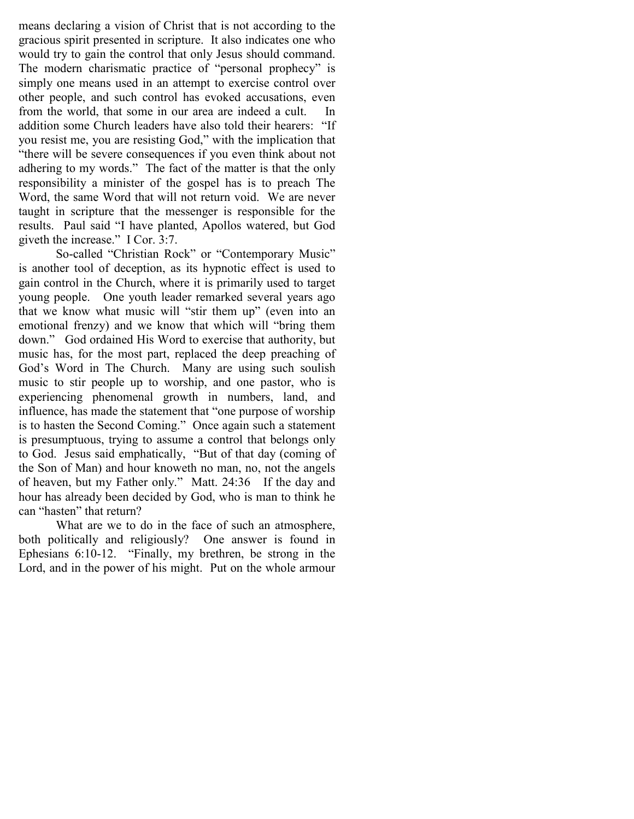means declaring a vision of Christ that is not according to the gracious spirit presented in scripture. It also indicates one who would try to gain the control that only Jesus should command. The modern charismatic practice of "personal prophecy" is simply one means used in an attempt to exercise control over other people, and such control has evoked accusations, even from the world, that some in our area are indeed a cult. In addition some Church leaders have also told their hearers: "If you resist me, you are resisting God," with the implication that "there will be severe consequences if you even think about not adhering to my words." The fact of the matter is that the only responsibility a minister of the gospel has is to preach The Word, the same Word that will not return void. We are never taught in scripture that the messenger is responsible for the results. Paul said "I have planted, Apollos watered, but God giveth the increase." I Cor. 3:7.

So-called "Christian Rock" or "Contemporary Music" is another tool of deception, as its hypnotic effect is used to gain control in the Church, where it is primarily used to target young people. One youth leader remarked several years ago that we know what music will "stir them up" (even into an emotional frenzy) and we know that which will "bring them down." God ordained His Word to exercise that authority, but music has, for the most part, replaced the deep preaching of God's Word in The Church. Many are using such soulish music to stir people up to worship, and one pastor, who is experiencing phenomenal growth in numbers, land, and influence, has made the statement that "one purpose of worship is to hasten the Second Coming." Once again such a statement is presumptuous, trying to assume a control that belongs only to God. Jesus said emphatically, "But of that day (coming of the Son of Man) and hour knoweth no man, no, not the angels of heaven, but my Father only." Matt. 24:36 If the day and hour has already been decided by God, who is man to think he can "hasten" that return?

What are we to do in the face of such an atmosphere, both politically and religiously? One answer is found in Ephesians 6:10-12. "Finally, my brethren, be strong in the Lord, and in the power of his might. Put on the whole armour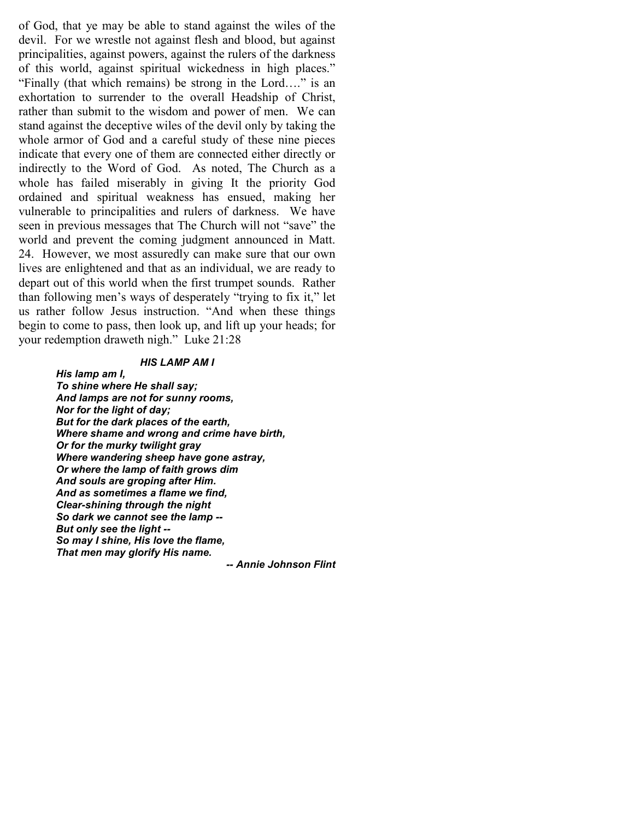of God, that ye may be able to stand against the wiles of the devil. For we wrestle not against flesh and blood, but against principalities, against powers, against the rulers of the darkness of this world, against spiritual wickedness in high places." "Finally (that which remains) be strong in the Lord…." is an exhortation to surrender to the overall Headship of Christ, rather than submit to the wisdom and power of men. We can stand against the deceptive wiles of the devil only by taking the whole armor of God and a careful study of these nine pieces indicate that every one of them are connected either directly or indirectly to the Word of God. As noted, The Church as a whole has failed miserably in giving It the priority God ordained and spiritual weakness has ensued, making her vulnerable to principalities and rulers of darkness. We have seen in previous messages that The Church will not "save" the world and prevent the coming judgment announced in Matt. 24. However, we most assuredly can make sure that our own lives are enlightened and that as an individual, we are ready to depart out of this world when the first trumpet sounds. Rather than following men's ways of desperately "trying to fix it," let us rather follow Jesus instruction. "And when these things begin to come to pass, then look up, and lift up your heads; for your redemption draweth nigh." Luke 21:28

#### HIS LAMP AM I

His lamp am I, To shine where He shall say; And lamps are not for sunny rooms, Nor for the light of day; But for the dark places of the earth, Where shame and wrong and crime have birth, Or for the murky twilight gray Where wandering sheep have gone astray, Or where the lamp of faith grows dim And souls are groping after Him. And as sometimes a flame we find, Clear-shining through the night So dark we cannot see the lamp -- But only see the light -- So may I shine, His love the flame, That men may glorify His name.

-- Annie Johnson Flint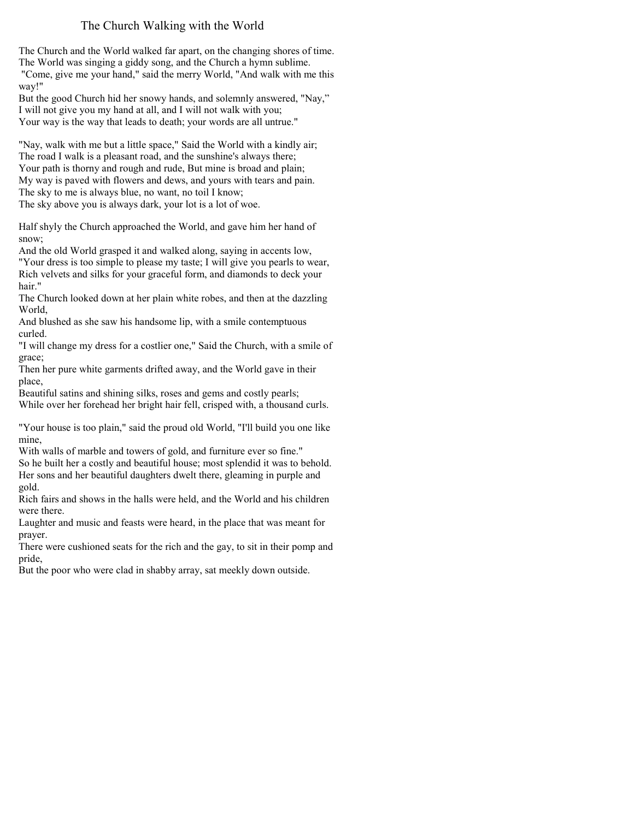## The Church Walking with the World

The Church and the World walked far apart, on the changing shores of time. The World was singing a giddy song, and the Church a hymn sublime. "Come, give me your hand," said the merry World, "And walk with me this

way!" But the good Church hid her snowy hands, and solemnly answered, "Nay," I will not give you my hand at all, and I will not walk with you; Your way is the way that leads to death; your words are all untrue."

"Nay, walk with me but a little space," Said the World with a kindly air; The road I walk is a pleasant road, and the sunshine's always there; Your path is thorny and rough and rude, But mine is broad and plain; My way is paved with flowers and dews, and yours with tears and pain. The sky to me is always blue, no want, no toil I know; The sky above you is always dark, your lot is a lot of woe.

Half shyly the Church approached the World, and gave him her hand of snow;

And the old World grasped it and walked along, saying in accents low, "Your dress is too simple to please my taste; I will give you pearls to wear, Rich velvets and silks for your graceful form, and diamonds to deck your hair."

The Church looked down at her plain white robes, and then at the dazzling World,

And blushed as she saw his handsome lip, with a smile contemptuous curled.

"I will change my dress for a costlier one," Said the Church, with a smile of grace;

Then her pure white garments drifted away, and the World gave in their place,

Beautiful satins and shining silks, roses and gems and costly pearls; While over her forehead her bright hair fell, crisped with, a thousand curls.

"Your house is too plain," said the proud old World, "I'll build you one like mine,

With walls of marble and towers of gold, and furniture ever so fine." So he built her a costly and beautiful house; most splendid it was to behold. Her sons and her beautiful daughters dwelt there, gleaming in purple and gold.

Rich fairs and shows in the halls were held, and the World and his children were there.

Laughter and music and feasts were heard, in the place that was meant for prayer.

There were cushioned seats for the rich and the gay, to sit in their pomp and pride,

But the poor who were clad in shabby array, sat meekly down outside.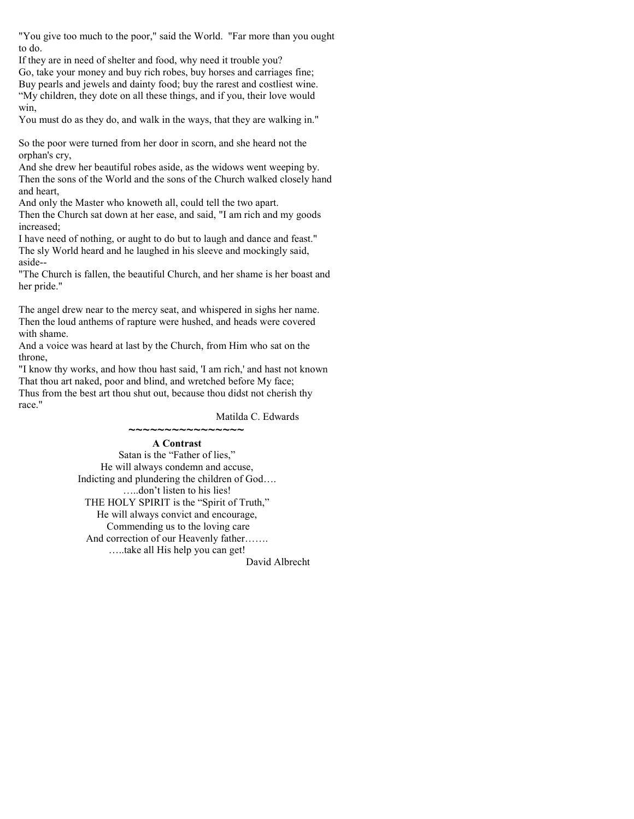"You give too much to the poor," said the World. "Far more than you ought to do.

If they are in need of shelter and food, why need it trouble you? Go, take your money and buy rich robes, buy horses and carriages fine; Buy pearls and jewels and dainty food; buy the rarest and costliest wine. "My children, they dote on all these things, and if you, their love would win,

You must do as they do, and walk in the ways, that they are walking in."

So the poor were turned from her door in scorn, and she heard not the orphan's cry,

And she drew her beautiful robes aside, as the widows went weeping by. Then the sons of the World and the sons of the Church walked closely hand and heart,

And only the Master who knoweth all, could tell the two apart.

Then the Church sat down at her ease, and said, "I am rich and my goods increased;

I have need of nothing, or aught to do but to laugh and dance and feast." The sly World heard and he laughed in his sleeve and mockingly said, aside--

"The Church is fallen, the beautiful Church, and her shame is her boast and her pride."

The angel drew near to the mercy seat, and whispered in sighs her name. Then the loud anthems of rapture were hushed, and heads were covered with shame.

And a voice was heard at last by the Church, from Him who sat on the throne,

"I know thy works, and how thou hast said, 'I am rich,' and hast not known That thou art naked, poor and blind, and wretched before My face; Thus from the best art thou shut out, because thou didst not cherish thy race."

Matilda C. Edwards

A Contrast Satan is the "Father of lies," He will always condemn and accuse, Indicting and plundering the children of God…. …..don't listen to his lies! THE HOLY SPIRIT is the "Spirit of Truth," He will always convict and encourage, Commending us to the loving care And correction of our Heavenly father……. …..take all His help you can get! David Albrecht

~~~~~~~~~~~~~~~~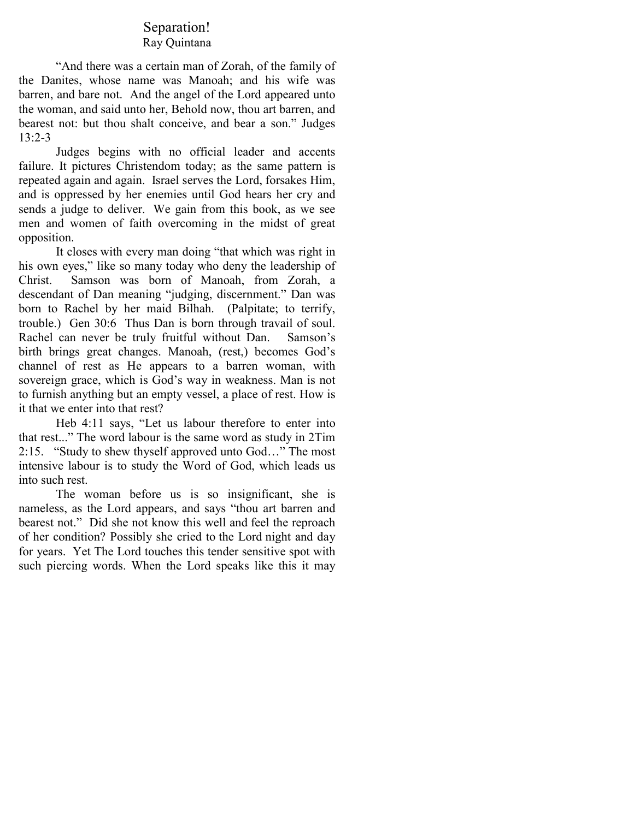### Separation! Ray Quintana

"And there was a certain man of Zorah, of the family of the Danites, whose name was Manoah; and his wife was barren, and bare not. And the angel of the Lord appeared unto the woman, and said unto her, Behold now, thou art barren, and bearest not: but thou shalt conceive, and bear a son." Judges 13:2-3

Judges begins with no official leader and accents failure. It pictures Christendom today; as the same pattern is repeated again and again. Israel serves the Lord, forsakes Him, and is oppressed by her enemies until God hears her cry and sends a judge to deliver. We gain from this book, as we see men and women of faith overcoming in the midst of great opposition.

It closes with every man doing "that which was right in his own eyes," like so many today who deny the leadership of Christ. Samson was born of Manoah, from Zorah, a descendant of Dan meaning "judging, discernment." Dan was born to Rachel by her maid Bilhah. (Palpitate; to terrify, trouble.) Gen 30:6 Thus Dan is born through travail of soul. Rachel can never be truly fruitful without Dan. Samson's birth brings great changes. Manoah, (rest,) becomes God's channel of rest as He appears to a barren woman, with sovereign grace, which is God's way in weakness. Man is not to furnish anything but an empty vessel, a place of rest. How is it that we enter into that rest?

Heb 4:11 says, "Let us labour therefore to enter into that rest..." The word labour is the same word as study in 2Tim 2:15. "Study to shew thyself approved unto God…" The most intensive labour is to study the Word of God, which leads us into such rest.

The woman before us is so insignificant, she is nameless, as the Lord appears, and says "thou art barren and bearest not." Did she not know this well and feel the reproach of her condition? Possibly she cried to the Lord night and day for years. Yet The Lord touches this tender sensitive spot with such piercing words. When the Lord speaks like this it may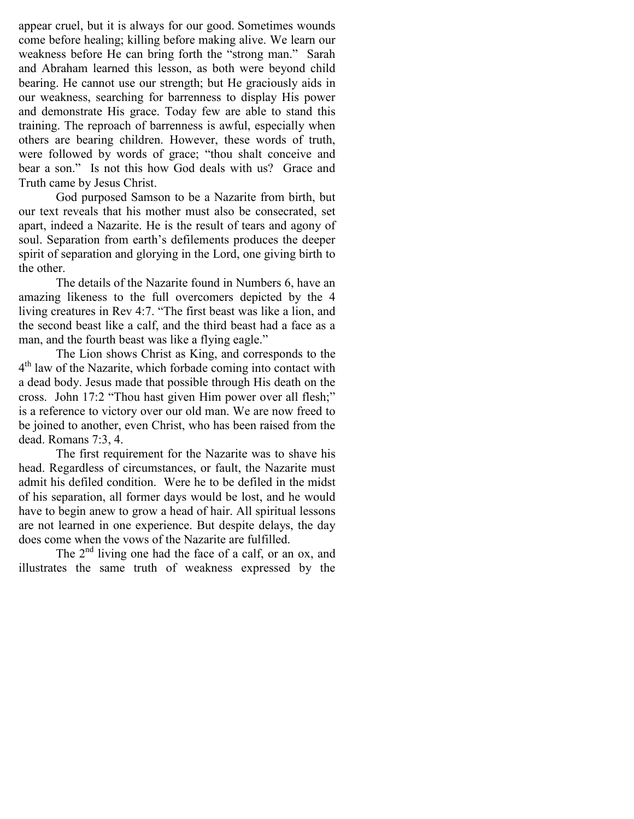appear cruel, but it is always for our good. Sometimes wounds come before healing; killing before making alive. We learn our weakness before He can bring forth the "strong man." Sarah and Abraham learned this lesson, as both were beyond child bearing. He cannot use our strength; but He graciously aids in our weakness, searching for barrenness to display His power and demonstrate His grace. Today few are able to stand this training. The reproach of barrenness is awful, especially when others are bearing children. However, these words of truth, were followed by words of grace; "thou shalt conceive and bear a son." Is not this how God deals with us? Grace and Truth came by Jesus Christ.

God purposed Samson to be a Nazarite from birth, but our text reveals that his mother must also be consecrated, set apart, indeed a Nazarite. He is the result of tears and agony of soul. Separation from earth's defilements produces the deeper spirit of separation and glorying in the Lord, one giving birth to the other.

The details of the Nazarite found in Numbers 6, have an amazing likeness to the full overcomers depicted by the 4 living creatures in Rev 4:7. "The first beast was like a lion, and the second beast like a calf, and the third beast had a face as a man, and the fourth beast was like a flying eagle."

The Lion shows Christ as King, and corresponds to the 4 th law of the Nazarite, which forbade coming into contact with a dead body. Jesus made that possible through His death on the cross. John 17:2 "Thou hast given Him power over all flesh;" is a reference to victory over our old man. We are now freed to be joined to another, even Christ, who has been raised from the dead. Romans 7:3, 4.

The first requirement for the Nazarite was to shave his head. Regardless of circumstances, or fault, the Nazarite must admit his defiled condition. Were he to be defiled in the midst of his separation, all former days would be lost, and he would have to begin anew to grow a head of hair. All spiritual lessons are not learned in one experience. But despite delays, the day does come when the vows of the Nazarite are fulfilled.

The 2<sup>nd</sup> living one had the face of a calf, or an ox, and illustrates the same truth of weakness expressed by the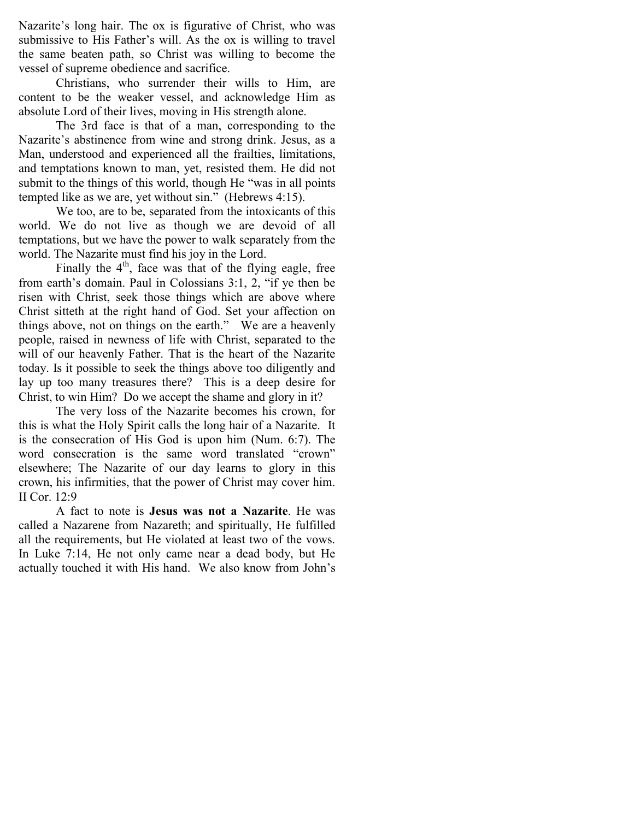Nazarite's long hair. The ox is figurative of Christ, who was submissive to His Father's will. As the ox is willing to travel the same beaten path, so Christ was willing to become the vessel of supreme obedience and sacrifice.

Christians, who surrender their wills to Him, are content to be the weaker vessel, and acknowledge Him as absolute Lord of their lives, moving in His strength alone.

The 3rd face is that of a man, corresponding to the Nazarite's abstinence from wine and strong drink. Jesus, as a Man, understood and experienced all the frailties, limitations, and temptations known to man, yet, resisted them. He did not submit to the things of this world, though He "was in all points tempted like as we are, yet without sin." (Hebrews 4:15).

We too, are to be, separated from the intoxicants of this world. We do not live as though we are devoid of all temptations, but we have the power to walk separately from the world. The Nazarite must find his joy in the Lord.

Finally the  $4<sup>th</sup>$ , face was that of the flying eagle, free from earth's domain. Paul in Colossians 3:1, 2, "if ye then be risen with Christ, seek those things which are above where Christ sitteth at the right hand of God. Set your affection on things above, not on things on the earth." We are a heavenly people, raised in newness of life with Christ, separated to the will of our heavenly Father. That is the heart of the Nazarite today. Is it possible to seek the things above too diligently and lay up too many treasures there? This is a deep desire for Christ, to win Him? Do we accept the shame and glory in it?

The very loss of the Nazarite becomes his crown, for this is what the Holy Spirit calls the long hair of a Nazarite. It is the consecration of His God is upon him (Num. 6:7). The word consecration is the same word translated "crown" elsewhere; The Nazarite of our day learns to glory in this crown, his infirmities, that the power of Christ may cover him. II Cor. 12:9

A fact to note is Jesus was not a Nazarite. He was called a Nazarene from Nazareth; and spiritually, He fulfilled all the requirements, but He violated at least two of the vows. In Luke 7:14, He not only came near a dead body, but He actually touched it with His hand. We also know from John's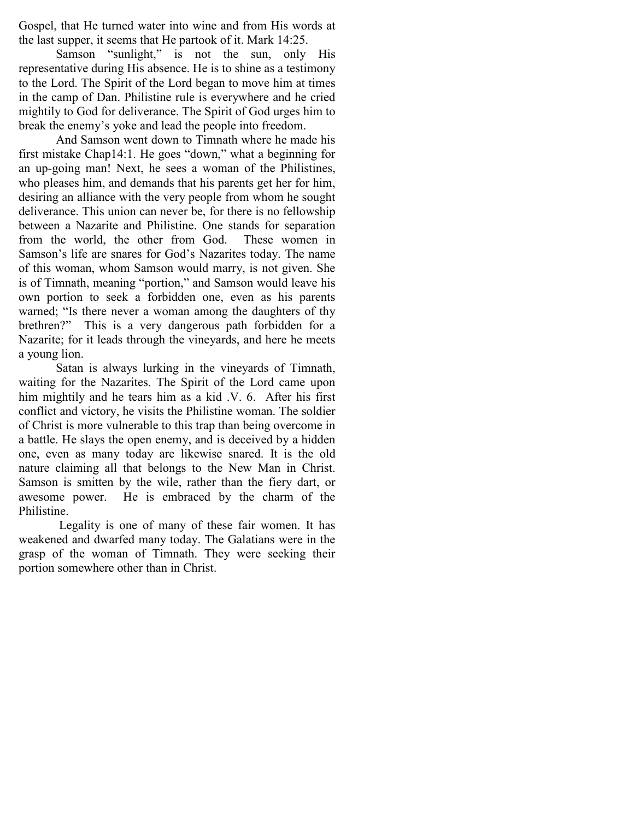Gospel, that He turned water into wine and from His words at the last supper, it seems that He partook of it. Mark 14:25.

Samson "sunlight," is not the sun, only His representative during His absence. He is to shine as a testimony to the Lord. The Spirit of the Lord began to move him at times in the camp of Dan. Philistine rule is everywhere and he cried mightily to God for deliverance. The Spirit of God urges him to break the enemy's yoke and lead the people into freedom.

And Samson went down to Timnath where he made his first mistake Chap14:1. He goes "down," what a beginning for an up-going man! Next, he sees a woman of the Philistines, who pleases him, and demands that his parents get her for him, desiring an alliance with the very people from whom he sought deliverance. This union can never be, for there is no fellowship between a Nazarite and Philistine. One stands for separation from the world, the other from God. These women in Samson's life are snares for God's Nazarites today. The name of this woman, whom Samson would marry, is not given. She is of Timnath, meaning "portion," and Samson would leave his own portion to seek a forbidden one, even as his parents warned; "Is there never a woman among the daughters of thy brethren?" This is a very dangerous path forbidden for a Nazarite; for it leads through the vineyards, and here he meets a young lion.

Satan is always lurking in the vineyards of Timnath, waiting for the Nazarites. The Spirit of the Lord came upon him mightily and he tears him as a kid .V. 6. After his first conflict and victory, he visits the Philistine woman. The soldier of Christ is more vulnerable to this trap than being overcome in a battle. He slays the open enemy, and is deceived by a hidden one, even as many today are likewise snared. It is the old nature claiming all that belongs to the New Man in Christ. Samson is smitten by the wile, rather than the fiery dart, or awesome power. He is embraced by the charm of the Philistine.

 Legality is one of many of these fair women. It has weakened and dwarfed many today. The Galatians were in the grasp of the woman of Timnath. They were seeking their portion somewhere other than in Christ.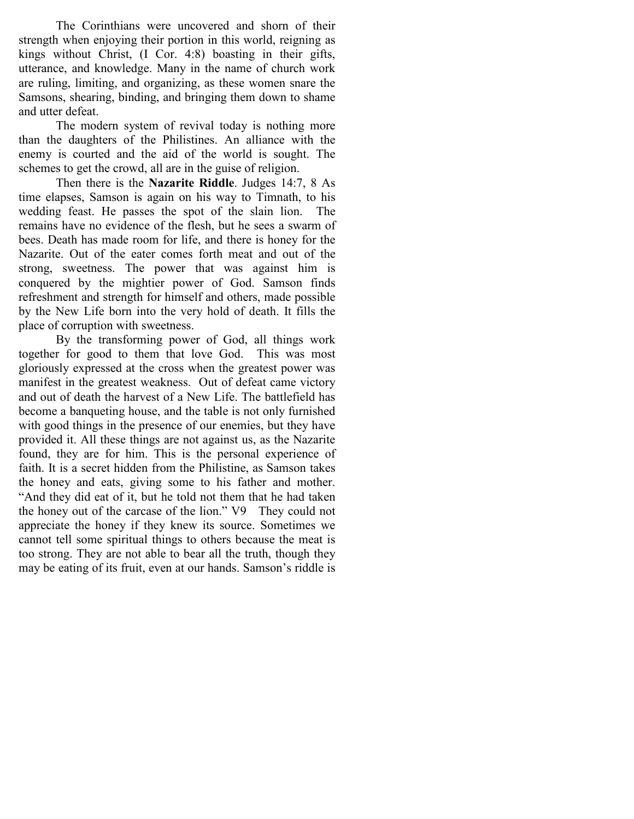The Corinthians were uncovered and shorn of their strength when enjoying their portion in this world, reigning as kings without Christ, (I Cor. 4:8) boasting in their gifts, utterance, and knowledge. Many in the name of church work are ruling, limiting, and organizing, as these women snare the Samsons, shearing, binding, and bringing them down to shame and utter defeat.

The modern system of revival today is nothing more than the daughters of the Philistines. An alliance with the enemy is courted and the aid of the world is sought. The schemes to get the crowd, all are in the guise of religion.

Then there is the Nazarite Riddle. Judges 14:7, 8 As time elapses, Samson is again on his way to Timnath, to his wedding feast. He passes the spot of the slain lion. The remains have no evidence of the flesh, but he sees a swarm of bees. Death has made room for life, and there is honey for the Nazarite. Out of the eater comes forth meat and out of the strong, sweetness. The power that was against him is conquered by the mightier power of God. Samson finds refreshment and strength for himself and others, made possible by the New Life born into the very hold of death. It fills the place of corruption with sweetness.

By the transforming power of God, all things work together for good to them that love God. This was most gloriously expressed at the cross when the greatest power was manifest in the greatest weakness. Out of defeat came victory and out of death the harvest of a New Life. The battlefield has become a banqueting house, and the table is not only furnished with good things in the presence of our enemies, but they have provided it. All these things are not against us, as the Nazarite found, they are for him. This is the personal experience of faith. It is a secret hidden from the Philistine, as Samson takes the honey and eats, giving some to his father and mother. "And they did eat of it, but he told not them that he had taken the honey out of the carcase of the lion." V9 They could not appreciate the honey if they knew its source. Sometimes we cannot tell some spiritual things to others because the meat is too strong. They are not able to bear all the truth, though they may be eating of its fruit, even at our hands. Samson's riddle is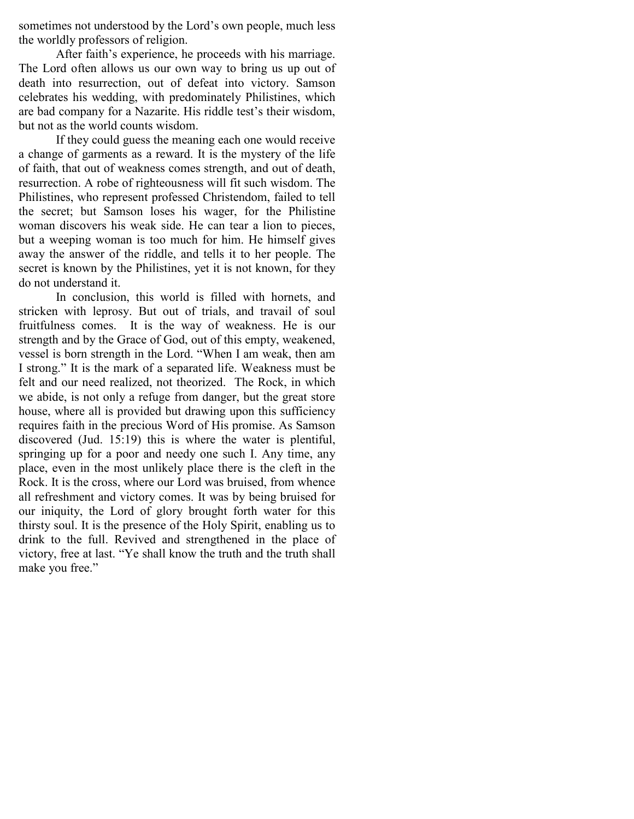sometimes not understood by the Lord's own people, much less the worldly professors of religion.

After faith's experience, he proceeds with his marriage. The Lord often allows us our own way to bring us up out of death into resurrection, out of defeat into victory. Samson celebrates his wedding, with predominately Philistines, which are bad company for a Nazarite. His riddle test's their wisdom, but not as the world counts wisdom.

 If they could guess the meaning each one would receive a change of garments as a reward. It is the mystery of the life of faith, that out of weakness comes strength, and out of death, resurrection. A robe of righteousness will fit such wisdom. The Philistines, who represent professed Christendom, failed to tell the secret; but Samson loses his wager, for the Philistine woman discovers his weak side. He can tear a lion to pieces, but a weeping woman is too much for him. He himself gives away the answer of the riddle, and tells it to her people. The secret is known by the Philistines, yet it is not known, for they do not understand it.

In conclusion, this world is filled with hornets, and stricken with leprosy. But out of trials, and travail of soul fruitfulness comes. It is the way of weakness. He is our strength and by the Grace of God, out of this empty, weakened, vessel is born strength in the Lord. "When I am weak, then am I strong." It is the mark of a separated life. Weakness must be felt and our need realized, not theorized. The Rock, in which we abide, is not only a refuge from danger, but the great store house, where all is provided but drawing upon this sufficiency requires faith in the precious Word of His promise. As Samson discovered (Jud. 15:19) this is where the water is plentiful, springing up for a poor and needy one such I. Any time, any place, even in the most unlikely place there is the cleft in the Rock. It is the cross, where our Lord was bruised, from whence all refreshment and victory comes. It was by being bruised for our iniquity, the Lord of glory brought forth water for this thirsty soul. It is the presence of the Holy Spirit, enabling us to drink to the full. Revived and strengthened in the place of victory, free at last. "Ye shall know the truth and the truth shall make you free."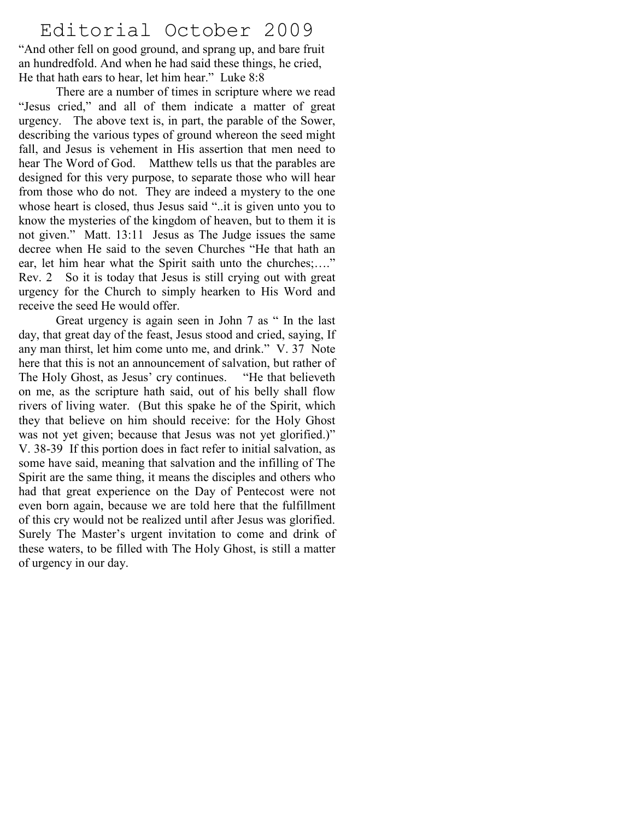# Editorial October 2009

"And other fell on good ground, and sprang up, and bare fruit an hundredfold. And when he had said these things, he cried, He that hath ears to hear, let him hear." Luke 8:8

 There are a number of times in scripture where we read "Jesus cried," and all of them indicate a matter of great urgency. The above text is, in part, the parable of the Sower, describing the various types of ground whereon the seed might fall, and Jesus is vehement in His assertion that men need to hear The Word of God. Matthew tells us that the parables are designed for this very purpose, to separate those who will hear from those who do not. They are indeed a mystery to the one whose heart is closed, thus Jesus said "..it is given unto you to know the mysteries of the kingdom of heaven, but to them it is not given." Matt. 13:11 Jesus as The Judge issues the same decree when He said to the seven Churches "He that hath an ear, let him hear what the Spirit saith unto the churches;…." Rev. 2 So it is today that Jesus is still crying out with great urgency for the Church to simply hearken to His Word and receive the seed He would offer.

 Great urgency is again seen in John 7 as " In the last day, that great day of the feast, Jesus stood and cried, saying, If any man thirst, let him come unto me, and drink." V. 37 Note here that this is not an announcement of salvation, but rather of The Holy Ghost, as Jesus' cry continues. "He that believeth on me, as the scripture hath said, out of his belly shall flow rivers of living water. (But this spake he of the Spirit, which they that believe on him should receive: for the Holy Ghost was not yet given; because that Jesus was not yet glorified.)" V. 38-39 If this portion does in fact refer to initial salvation, as some have said, meaning that salvation and the infilling of The Spirit are the same thing, it means the disciples and others who had that great experience on the Day of Pentecost were not even born again, because we are told here that the fulfillment of this cry would not be realized until after Jesus was glorified. Surely The Master's urgent invitation to come and drink of these waters, to be filled with The Holy Ghost, is still a matter of urgency in our day.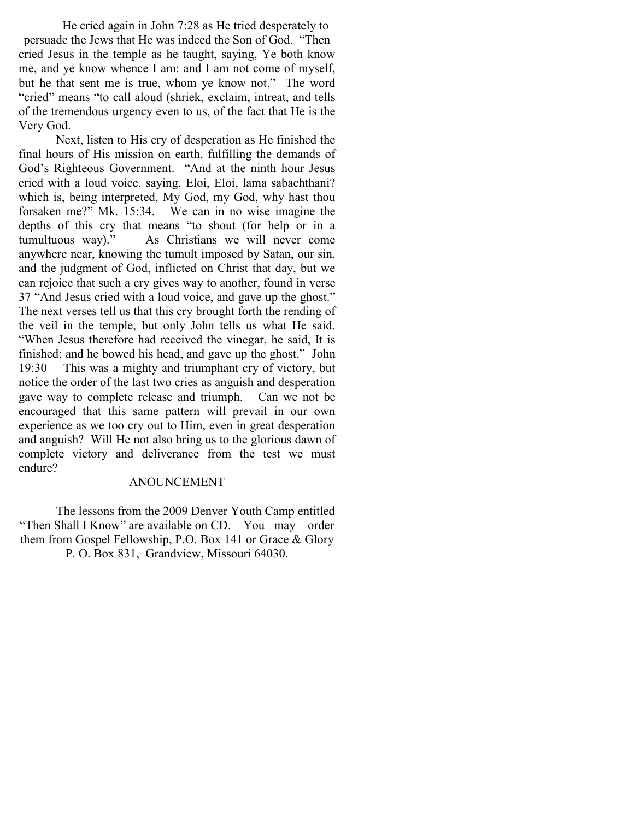He cried again in John 7:28 as He tried desperately to persuade the Jews that He was indeed the Son of God. "Then cried Jesus in the temple as he taught, saying, Ye both know me, and ye know whence I am: and I am not come of myself, but he that sent me is true, whom ye know not." The word "cried" means "to call aloud (shriek, exclaim, intreat, and tells of the tremendous urgency even to us, of the fact that He is the Very God.

 Next, listen to His cry of desperation as He finished the final hours of His mission on earth, fulfilling the demands of God's Righteous Government. "And at the ninth hour Jesus cried with a loud voice, saying, Eloi, Eloi, lama sabachthani? which is, being interpreted, My God, my God, why hast thou forsaken me?" Mk. 15:34. We can in no wise imagine the depths of this cry that means "to shout (for help or in a tumultuous way)." As Christians we will never come anywhere near, knowing the tumult imposed by Satan, our sin, and the judgment of God, inflicted on Christ that day, but we can rejoice that such a cry gives way to another, found in verse 37 "And Jesus cried with a loud voice, and gave up the ghost." The next verses tell us that this cry brought forth the rending of the veil in the temple, but only John tells us what He said. "When Jesus therefore had received the vinegar, he said, It is finished: and he bowed his head, and gave up the ghost." John 19:30 This was a mighty and triumphant cry of victory, but notice the order of the last two cries as anguish and desperation gave way to complete release and triumph. Can we not be encouraged that this same pattern will prevail in our own experience as we too cry out to Him, even in great desperation and anguish? Will He not also bring us to the glorious dawn of complete victory and deliverance from the test we must endure?

#### ANOUNCEMENT

The lessons from the 2009 Denver Youth Camp entitled "Then Shall I Know" are available on CD. You may order them from Gospel Fellowship, P.O. Box 141 or Grace & Glory P. O. Box 831, Grandview, Missouri 64030.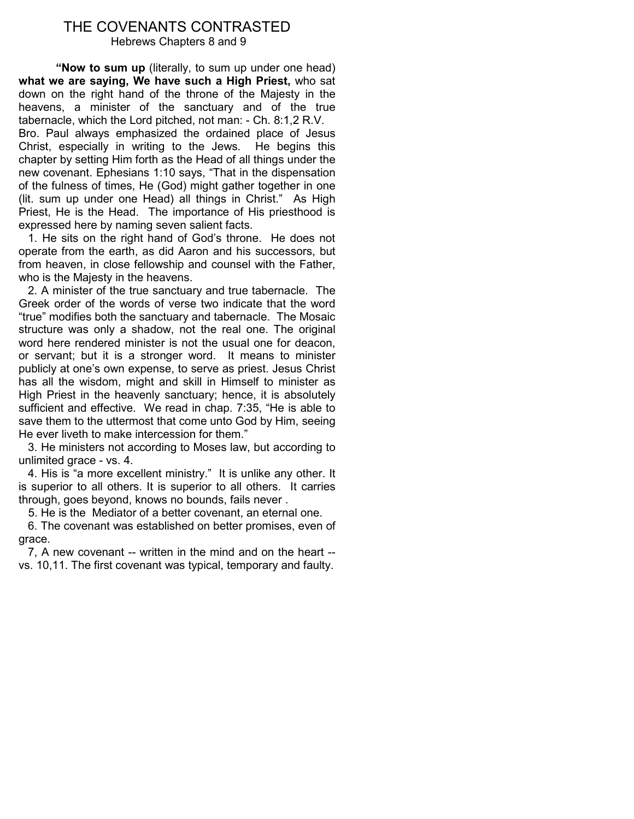#### THE COVENANTS CONTRASTED Hebrews Chapters 8 and 9

"Now to sum up (literally, to sum up under one head) what we are saying, We have such a High Priest, who sat down on the right hand of the throne of the Majesty in the heavens, a minister of the sanctuary and of the true tabernacle, which the Lord pitched, not man: - Ch. 8:1,2 R.V. Bro. Paul always emphasized the ordained place of Jesus Christ, especially in writing to the Jews. He begins this chapter by setting Him forth as the Head of all things under the new covenant. Ephesians 1:10 says, "That in the dispensation of the fulness of times, He (God) might gather together in one (lit. sum up under one Head) all things in Christ." As High Priest, He is the Head. The importance of His priesthood is expressed here by naming seven salient facts.

 1. He sits on the right hand of God's throne. He does not operate from the earth, as did Aaron and his successors, but from heaven, in close fellowship and counsel with the Father, who is the Majesty in the heavens.

 2. A minister of the true sanctuary and true tabernacle. The Greek order of the words of verse two indicate that the word "true" modifies both the sanctuary and tabernacle. The Mosaic structure was only a shadow, not the real one. The original word here rendered minister is not the usual one for deacon, or servant; but it is a stronger word. It means to minister publicly at one's own expense, to serve as priest. Jesus Christ has all the wisdom, might and skill in Himself to minister as High Priest in the heavenly sanctuary; hence, it is absolutely sufficient and effective. We read in chap. 7:35, "He is able to save them to the uttermost that come unto God by Him, seeing He ever liveth to make intercession for them."

 3. He ministers not according to Moses law, but according to unlimited grace - vs. 4.

 4. His is "a more excellent ministry." It is unlike any other. It is superior to all others. It is superior to all others. It carries through, goes beyond, knows no bounds, fails never .

5. He is the Mediator of a better covenant, an eternal one.

 6. The covenant was established on better promises, even of grace.

 7, A new covenant -- written in the mind and on the heart - vs. 10,11. The first covenant was typical, temporary and faulty.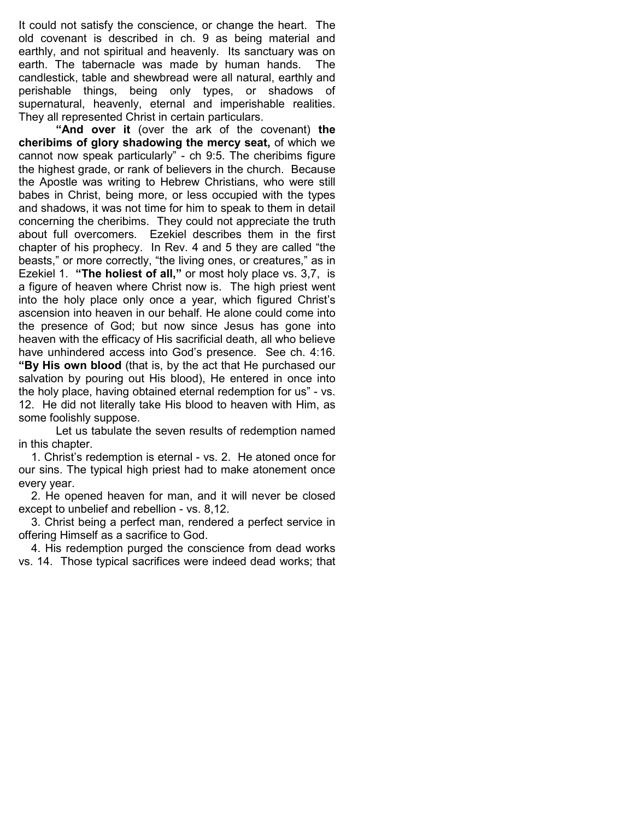It could not satisfy the conscience, or change the heart. The old covenant is described in ch. 9 as being material and earthly, and not spiritual and heavenly. Its sanctuary was on earth. The tabernacle was made by human hands. The candlestick, table and shewbread were all natural, earthly and perishable things, being only types, or shadows of supernatural, heavenly, eternal and imperishable realities. They all represented Christ in certain particulars.

"And over it (over the ark of the covenant) the cheribims of glory shadowing the mercy seat, of which we cannot now speak particularly" - ch 9:5. The cheribims figure the highest grade, or rank of believers in the church. Because the Apostle was writing to Hebrew Christians, who were still babes in Christ, being more, or less occupied with the types and shadows, it was not time for him to speak to them in detail concerning the cheribims. They could not appreciate the truth about full overcomers. Ezekiel describes them in the first chapter of his prophecy. In Rev. 4 and 5 they are called "the beasts," or more correctly, "the living ones, or creatures," as in Ezekiel 1. "The holiest of all," or most holy place vs. 3,7, is a figure of heaven where Christ now is. The high priest went into the holy place only once a year, which figured Christ's ascension into heaven in our behalf. He alone could come into the presence of God; but now since Jesus has gone into heaven with the efficacy of His sacrificial death, all who believe have unhindered access into God's presence. See ch. 4:16. "By His own blood (that is, by the act that He purchased our salvation by pouring out His blood), He entered in once into the holy place, having obtained eternal redemption for us" - vs. 12. He did not literally take His blood to heaven with Him, as some foolishly suppose.

 Let us tabulate the seven results of redemption named in this chapter.

 1. Christ's redemption is eternal - vs. 2. He atoned once for our sins. The typical high priest had to make atonement once every year.

 2. He opened heaven for man, and it will never be closed except to unbelief and rebellion - vs. 8,12.

 3. Christ being a perfect man, rendered a perfect service in offering Himself as a sacrifice to God.

 4. His redemption purged the conscience from dead works vs. 14. Those typical sacrifices were indeed dead works; that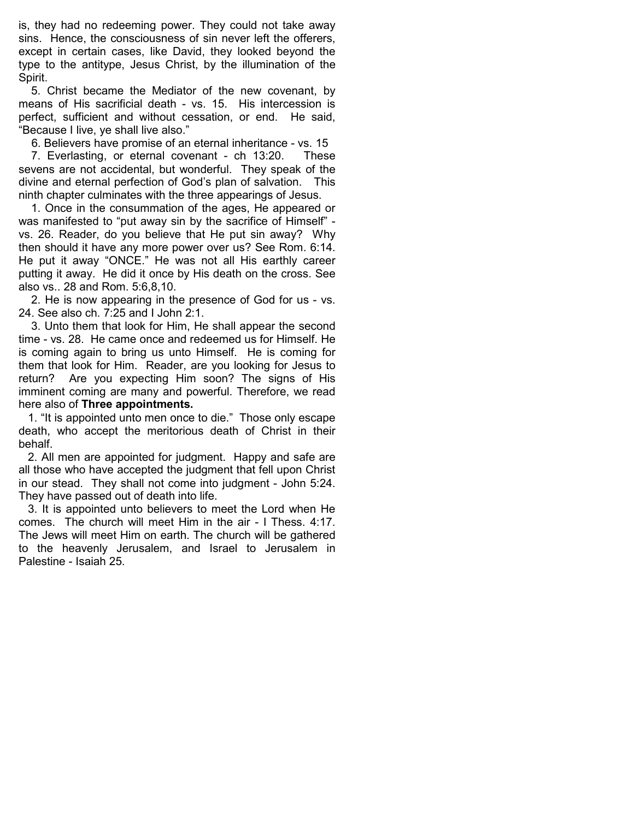is, they had no redeeming power. They could not take away sins. Hence, the consciousness of sin never left the offerers, except in certain cases, like David, they looked beyond the type to the antitype, Jesus Christ, by the illumination of the Spirit.

 5. Christ became the Mediator of the new covenant, by means of His sacrificial death - vs. 15. His intercession is perfect, sufficient and without cessation, or end. He said, "Because I live, ye shall live also."

6. Believers have promise of an eternal inheritance - vs. 15

 7. Everlasting, or eternal covenant - ch 13:20. These sevens are not accidental, but wonderful. They speak of the divine and eternal perfection of God's plan of salvation. This ninth chapter culminates with the three appearings of Jesus.

 1. Once in the consummation of the ages, He appeared or was manifested to "put away sin by the sacrifice of Himself" vs. 26. Reader, do you believe that He put sin away? Why then should it have any more power over us? See Rom. 6:14. He put it away "ONCE." He was not all His earthly career putting it away. He did it once by His death on the cross. See also vs.. 28 and Rom. 5:6,8,10.

 2. He is now appearing in the presence of God for us - vs. 24. See also ch. 7:25 and I John 2:1.

 3. Unto them that look for Him, He shall appear the second time - vs. 28. He came once and redeemed us for Himself. He is coming again to bring us unto Himself. He is coming for them that look for Him. Reader, are you looking for Jesus to return? Are you expecting Him soon? The signs of His imminent coming are many and powerful. Therefore, we read here also of Three appointments.

 1. "It is appointed unto men once to die." Those only escape death, who accept the meritorious death of Christ in their behalf.

 2. All men are appointed for judgment. Happy and safe are all those who have accepted the judgment that fell upon Christ in our stead. They shall not come into judgment - John 5:24. They have passed out of death into life.

 3. It is appointed unto believers to meet the Lord when He comes. The church will meet Him in the air - I Thess. 4:17. The Jews will meet Him on earth. The church will be gathered to the heavenly Jerusalem, and Israel to Jerusalem in Palestine - Isaiah 25.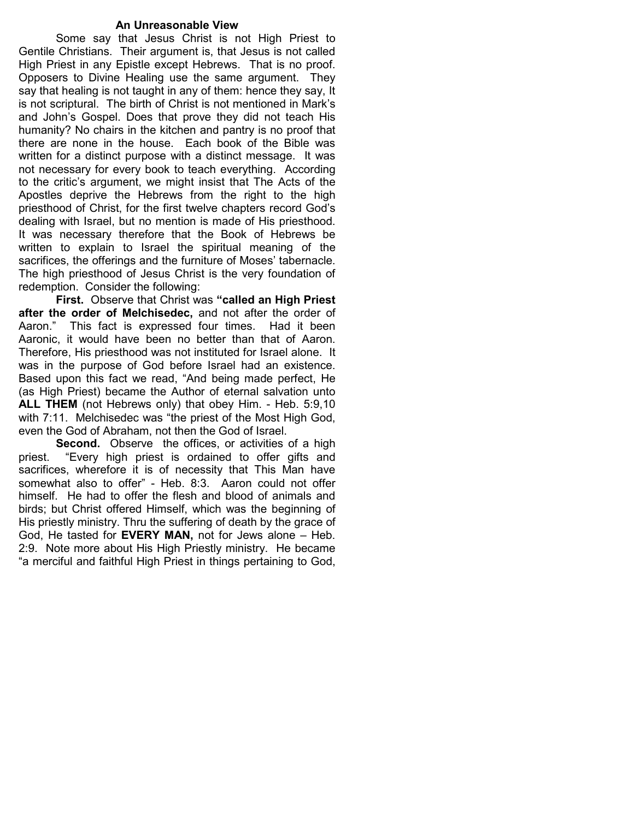#### An Unreasonable View

 Some say that Jesus Christ is not High Priest to Gentile Christians. Their argument is, that Jesus is not called High Priest in any Epistle except Hebrews. That is no proof. Opposers to Divine Healing use the same argument. They say that healing is not taught in any of them: hence they say, It is not scriptural. The birth of Christ is not mentioned in Mark's and John's Gospel. Does that prove they did not teach His humanity? No chairs in the kitchen and pantry is no proof that there are none in the house. Each book of the Bible was written for a distinct purpose with a distinct message. It was not necessary for every book to teach everything. According to the critic's argument, we might insist that The Acts of the Apostles deprive the Hebrews from the right to the high priesthood of Christ, for the first twelve chapters record God's dealing with Israel, but no mention is made of His priesthood. It was necessary therefore that the Book of Hebrews be written to explain to Israel the spiritual meaning of the sacrifices, the offerings and the furniture of Moses' tabernacle. The high priesthood of Jesus Christ is the very foundation of redemption. Consider the following:

First. Observe that Christ was "called an High Priest after the order of Melchisedec, and not after the order of Aaron." This fact is expressed four times. Had it been Aaronic, it would have been no better than that of Aaron. Therefore, His priesthood was not instituted for Israel alone. It was in the purpose of God before Israel had an existence. Based upon this fact we read, "And being made perfect, He (as High Priest) became the Author of eternal salvation unto ALL THEM (not Hebrews only) that obey Him. - Heb. 5:9,10 with 7:11. Melchisedec was "the priest of the Most High God, even the God of Abraham, not then the God of Israel.

Second. Observe the offices, or activities of a high priest. "Every high priest is ordained to offer gifts and sacrifices, wherefore it is of necessity that This Man have somewhat also to offer" - Heb. 8:3. Aaron could not offer himself. He had to offer the flesh and blood of animals and birds; but Christ offered Himself, which was the beginning of His priestly ministry. Thru the suffering of death by the grace of God, He tasted for EVERY MAN, not for Jews alone – Heb. 2:9. Note more about His High Priestly ministry. He became "a merciful and faithful High Priest in things pertaining to God,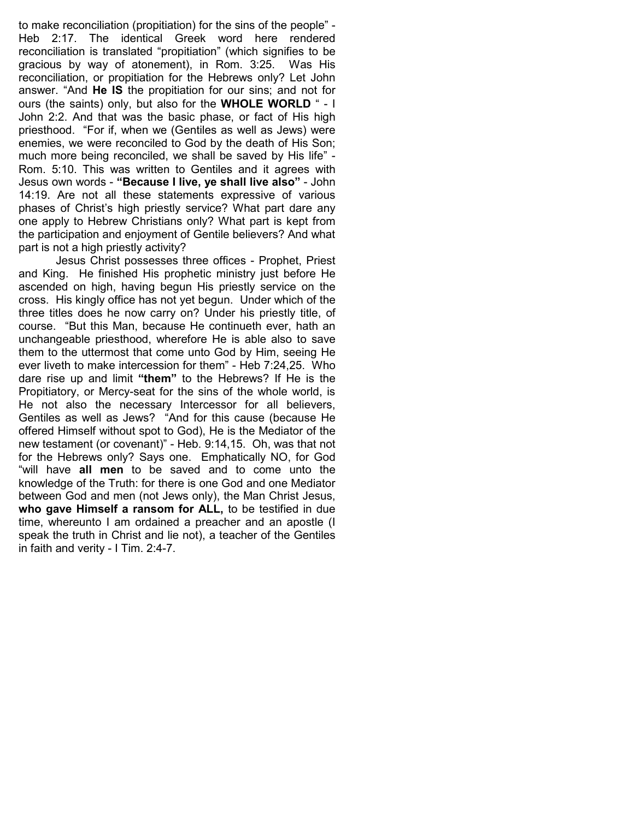to make reconciliation (propitiation) for the sins of the people" - Heb 2:17. The identical Greek word here rendered reconciliation is translated "propitiation" (which signifies to be gracious by way of atonement), in Rom. 3:25. Was His reconciliation, or propitiation for the Hebrews only? Let John answer. "And He IS the propitiation for our sins; and not for ours (the saints) only, but also for the WHOLE WORLD " - I John 2:2. And that was the basic phase, or fact of His high priesthood. "For if, when we (Gentiles as well as Jews) were enemies, we were reconciled to God by the death of His Son; much more being reconciled, we shall be saved by His life" - Rom. 5:10. This was written to Gentiles and it agrees with Jesus own words - "Because I live, ye shall live also" - John 14:19. Are not all these statements expressive of various phases of Christ's high priestly service? What part dare any one apply to Hebrew Christians only? What part is kept from the participation and enjoyment of Gentile believers? And what part is not a high priestly activity?

 Jesus Christ possesses three offices - Prophet, Priest and King. He finished His prophetic ministry just before He ascended on high, having begun His priestly service on the cross. His kingly office has not yet begun. Under which of the three titles does he now carry on? Under his priestly title, of course. "But this Man, because He continueth ever, hath an unchangeable priesthood, wherefore He is able also to save them to the uttermost that come unto God by Him, seeing He ever liveth to make intercession for them" - Heb 7:24,25. Who dare rise up and limit "them" to the Hebrews? If He is the Propitiatory, or Mercy-seat for the sins of the whole world, is He not also the necessary Intercessor for all believers, Gentiles as well as Jews? "And for this cause (because He offered Himself without spot to God), He is the Mediator of the new testament (or covenant)" - Heb. 9:14,15. Oh, was that not for the Hebrews only? Says one. Emphatically NO, for God "will have all men to be saved and to come unto the knowledge of the Truth: for there is one God and one Mediator between God and men (not Jews only), the Man Christ Jesus, who gave Himself a ransom for ALL, to be testified in due time, whereunto I am ordained a preacher and an apostle (I speak the truth in Christ and lie not), a teacher of the Gentiles in faith and verity - I Tim. 2:4-7.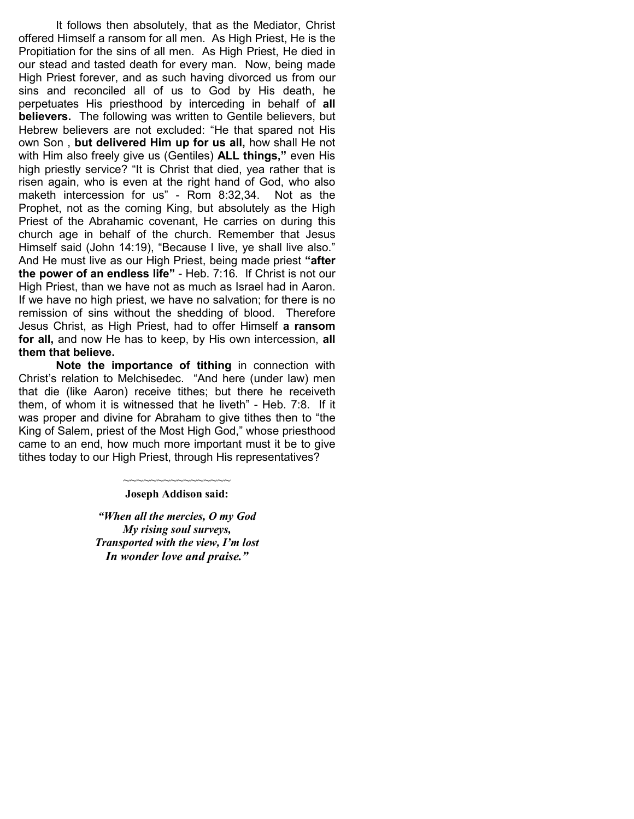It follows then absolutely, that as the Mediator, Christ offered Himself a ransom for all men. As High Priest, He is the Propitiation for the sins of all men. As High Priest, He died in our stead and tasted death for every man. Now, being made High Priest forever, and as such having divorced us from our sins and reconciled all of us to God by His death, he perpetuates His priesthood by interceding in behalf of all believers. The following was written to Gentile believers, but Hebrew believers are not excluded: "He that spared not His own Son, but delivered Him up for us all, how shall He not with Him also freely give us (Gentiles) **ALL things**," even His high priestly service? "It is Christ that died, yea rather that is risen again, who is even at the right hand of God, who also maketh intercession for us" - Rom 8:32,34. Not as the Prophet, not as the coming King, but absolutely as the High Priest of the Abrahamic covenant, He carries on during this church age in behalf of the church. Remember that Jesus Himself said (John 14:19), "Because I live, ye shall live also." And He must live as our High Priest, being made priest "after the power of an endless life" - Heb. 7:16. If Christ is not our High Priest, than we have not as much as Israel had in Aaron. If we have no high priest, we have no salvation; for there is no remission of sins without the shedding of blood. Therefore Jesus Christ, as High Priest, had to offer Himself a ransom for all, and now He has to keep, by His own intercession, all them that believe.

Note the importance of tithing in connection with Christ's relation to Melchisedec. "And here (under law) men that die (like Aaron) receive tithes; but there he receiveth them, of whom it is witnessed that he liveth" - Heb. 7:8. If it was proper and divine for Abraham to give tithes then to "the King of Salem, priest of the Most High God," whose priesthood came to an end, how much more important must it be to give tithes today to our High Priest, through His representatives?

#### ~~~~~~~~~~~~~~ Joseph Addison said:

"When all the mercies, O my God My rising soul surveys, Transported with the view, I'm lost In wonder love and praise."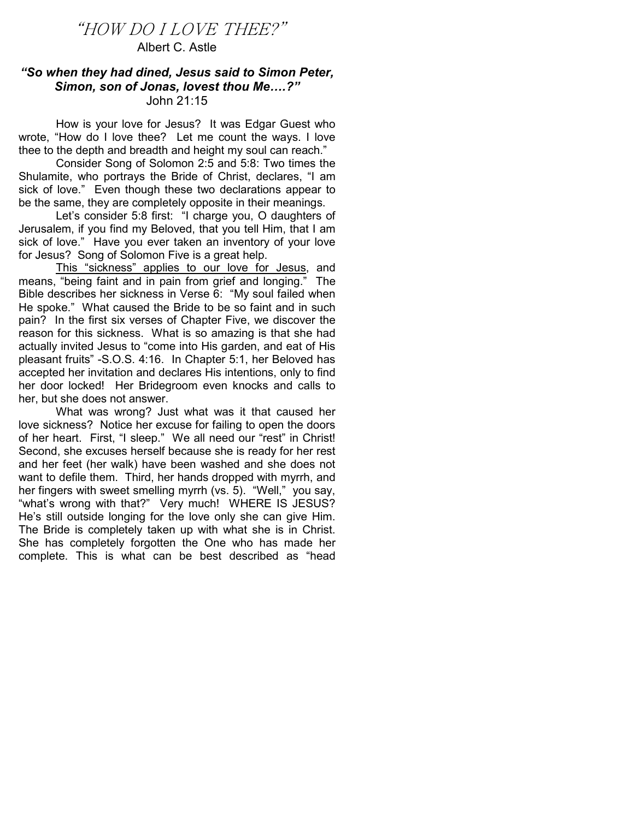# "HOW DO I LOVE THEE?"

# Albert C. Astle

## "So when they had dined, Jesus said to Simon Peter, Simon, son of Jonas, lovest thou Me….?" John 21:15

How is your love for Jesus? It was Edgar Guest who wrote, "How do I love thee? Let me count the ways. I love thee to the depth and breadth and height my soul can reach."

 Consider Song of Solomon 2:5 and 5:8: Two times the Shulamite, who portrays the Bride of Christ, declares, "I am sick of love." Even though these two declarations appear to be the same, they are completely opposite in their meanings.

 Let's consider 5:8 first: "I charge you, O daughters of Jerusalem, if you find my Beloved, that you tell Him, that I am sick of love." Have you ever taken an inventory of your love for Jesus? Song of Solomon Five is a great help.

 This "sickness" applies to our love for Jesus, and means, "being faint and in pain from grief and longing." The Bible describes her sickness in Verse 6: "My soul failed when He spoke." What caused the Bride to be so faint and in such pain? In the first six verses of Chapter Five, we discover the reason for this sickness. What is so amazing is that she had actually invited Jesus to "come into His garden, and eat of His pleasant fruits" -S.O.S. 4:16. In Chapter 5:1, her Beloved has accepted her invitation and declares His intentions, only to find her door locked! Her Bridegroom even knocks and calls to her, but she does not answer.

 What was wrong? Just what was it that caused her love sickness? Notice her excuse for failing to open the doors of her heart. First, "I sleep." We all need our "rest" in Christ! Second, she excuses herself because she is ready for her rest and her feet (her walk) have been washed and she does not want to defile them. Third, her hands dropped with myrrh, and her fingers with sweet smelling myrrh (vs. 5). "Well," you say, "what's wrong with that?" Very much! WHERE IS JESUS? He's still outside longing for the love only she can give Him. The Bride is completely taken up with what she is in Christ. She has completely forgotten the One who has made her complete. This is what can be best described as "head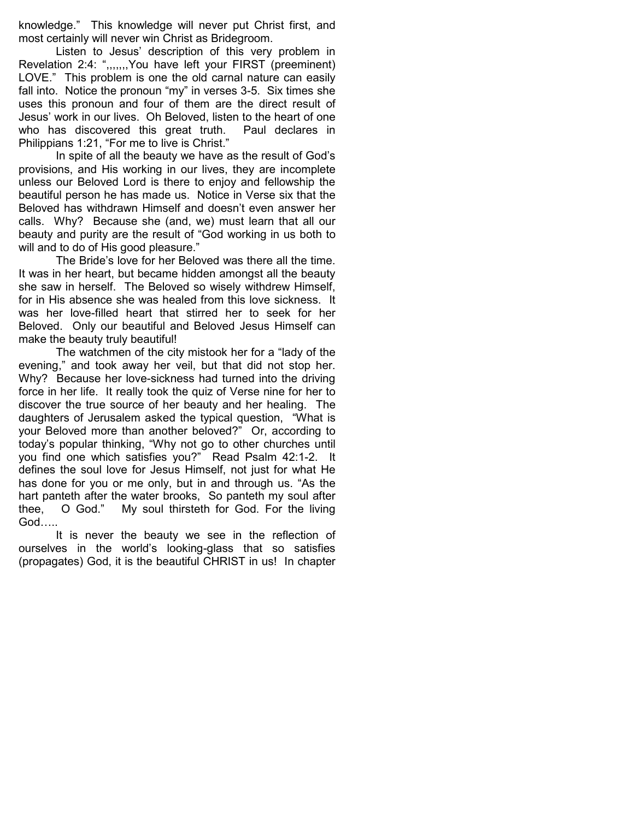knowledge." This knowledge will never put Christ first, and most certainly will never win Christ as Bridegroom.

 Listen to Jesus' description of this very problem in Revelation 2:4: ",,,,,,,You have left your FIRST (preeminent) LOVE." This problem is one the old carnal nature can easily fall into. Notice the pronoun "my" in verses 3-5. Six times she uses this pronoun and four of them are the direct result of Jesus' work in our lives. Oh Beloved, listen to the heart of one who has discovered this great truth. Paul declares in Philippians 1:21, "For me to live is Christ."

 In spite of all the beauty we have as the result of God's provisions, and His working in our lives, they are incomplete unless our Beloved Lord is there to enjoy and fellowship the beautiful person he has made us. Notice in Verse six that the Beloved has withdrawn Himself and doesn't even answer her calls. Why? Because she (and, we) must learn that all our beauty and purity are the result of "God working in us both to will and to do of His good pleasure."

 The Bride's love for her Beloved was there all the time. It was in her heart, but became hidden amongst all the beauty she saw in herself. The Beloved so wisely withdrew Himself, for in His absence she was healed from this love sickness. It was her love-filled heart that stirred her to seek for her Beloved. Only our beautiful and Beloved Jesus Himself can make the beauty truly beautiful!

 The watchmen of the city mistook her for a "lady of the evening," and took away her veil, but that did not stop her. Why? Because her love-sickness had turned into the driving force in her life. It really took the quiz of Verse nine for her to discover the true source of her beauty and her healing. The daughters of Jerusalem asked the typical question, "What is your Beloved more than another beloved?" Or, according to today's popular thinking, "Why not go to other churches until you find one which satisfies you?" Read Psalm 42:1-2. It defines the soul love for Jesus Himself, not just for what He has done for you or me only, but in and through us. "As the hart panteth after the water brooks, So panteth my soul after thee, O God." My soul thirsteth for God. For the living God…..

 It is never the beauty we see in the reflection of ourselves in the world's looking-glass that so satisfies (propagates) God, it is the beautiful CHRIST in us! In chapter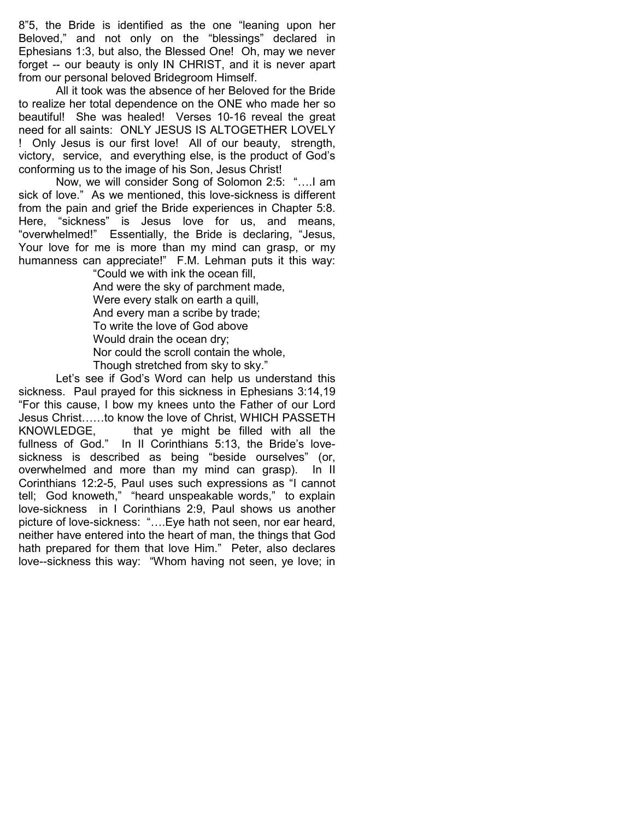8"5, the Bride is identified as the one "leaning upon her Beloved," and not only on the "blessings" declared in Ephesians 1:3, but also, the Blessed One! Oh, may we never forget -- our beauty is only IN CHRIST, and it is never apart from our personal beloved Bridegroom Himself.

 All it took was the absence of her Beloved for the Bride to realize her total dependence on the ONE who made her so beautiful! She was healed! Verses 10-16 reveal the great need for all saints: ONLY JESUS IS ALTOGETHER LOVELY ! Only Jesus is our first love! All of our beauty, strength, victory, service, and everything else, is the product of God's conforming us to the image of his Son, Jesus Christ!

 Now, we will consider Song of Solomon 2:5: "….I am sick of love." As we mentioned, this love-sickness is different from the pain and grief the Bride experiences in Chapter 5:8. Here, "sickness" is Jesus love for us, and means, "overwhelmed!" Essentially, the Bride is declaring, "Jesus, Your love for me is more than my mind can grasp, or my humanness can appreciate!" F.M. Lehman puts it this way:

 "Could we with ink the ocean fill, And were the sky of parchment made, Were every stalk on earth a quill, And every man a scribe by trade; To write the love of God above Would drain the ocean dry; Nor could the scroll contain the whole, Though stretched from sky to sky."

 Let's see if God's Word can help us understand this sickness. Paul prayed for this sickness in Ephesians 3:14,19 "For this cause, I bow my knees unto the Father of our Lord Jesus Christ……to know the love of Christ, WHICH PASSETH<br>KNOWLEDGE, that ye might be filled with all the that ye might be filled with all the fullness of God." In II Corinthians 5:13, the Bride's lovesickness is described as being "beside ourselves" (or, overwhelmed and more than my mind can grasp). In II Corinthians 12:2-5, Paul uses such expressions as "I cannot tell; God knoweth," "heard unspeakable words," to explain love-sickness in I Corinthians 2:9, Paul shows us another picture of love-sickness: "….Eye hath not seen, nor ear heard, neither have entered into the heart of man, the things that God hath prepared for them that love Him." Peter, also declares love--sickness this way: "Whom having not seen, ye love; in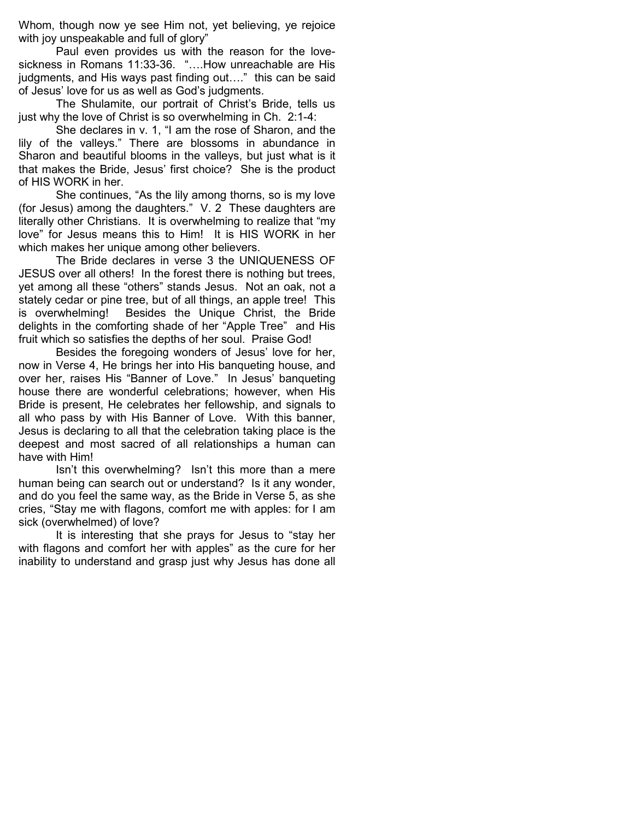Whom, though now ye see Him not, yet believing, ye rejoice with joy unspeakable and full of glory"

 Paul even provides us with the reason for the lovesickness in Romans 11:33-36. "….How unreachable are His judgments, and His ways past finding out…." this can be said of Jesus' love for us as well as God's judgments.

 The Shulamite, our portrait of Christ's Bride, tells us just why the love of Christ is so overwhelming in Ch. 2:1-4:

 She declares in v. 1, "I am the rose of Sharon, and the lily of the valleys." There are blossoms in abundance in Sharon and beautiful blooms in the valleys, but just what is it that makes the Bride, Jesus' first choice? She is the product of HIS WORK in her.

 She continues, "As the lily among thorns, so is my love (for Jesus) among the daughters." V. 2 These daughters are literally other Christians. It is overwhelming to realize that "my love" for Jesus means this to Him! It is HIS WORK in her which makes her unique among other believers.

 The Bride declares in verse 3 the UNIQUENESS OF JESUS over all others! In the forest there is nothing but trees, yet among all these "others" stands Jesus. Not an oak, not a stately cedar or pine tree, but of all things, an apple tree! This is overwhelming! Besides the Unique Christ, the Bride delights in the comforting shade of her "Apple Tree" and His fruit which so satisfies the depths of her soul. Praise God!

 Besides the foregoing wonders of Jesus' love for her, now in Verse 4, He brings her into His banqueting house, and over her, raises His "Banner of Love." In Jesus' banqueting house there are wonderful celebrations; however, when His Bride is present, He celebrates her fellowship, and signals to all who pass by with His Banner of Love. With this banner, Jesus is declaring to all that the celebration taking place is the deepest and most sacred of all relationships a human can have with Him!

 Isn't this overwhelming? Isn't this more than a mere human being can search out or understand? Is it any wonder, and do you feel the same way, as the Bride in Verse 5, as she cries, "Stay me with flagons, comfort me with apples: for I am sick (overwhelmed) of love?

 It is interesting that she prays for Jesus to "stay her with flagons and comfort her with apples" as the cure for her inability to understand and grasp just why Jesus has done all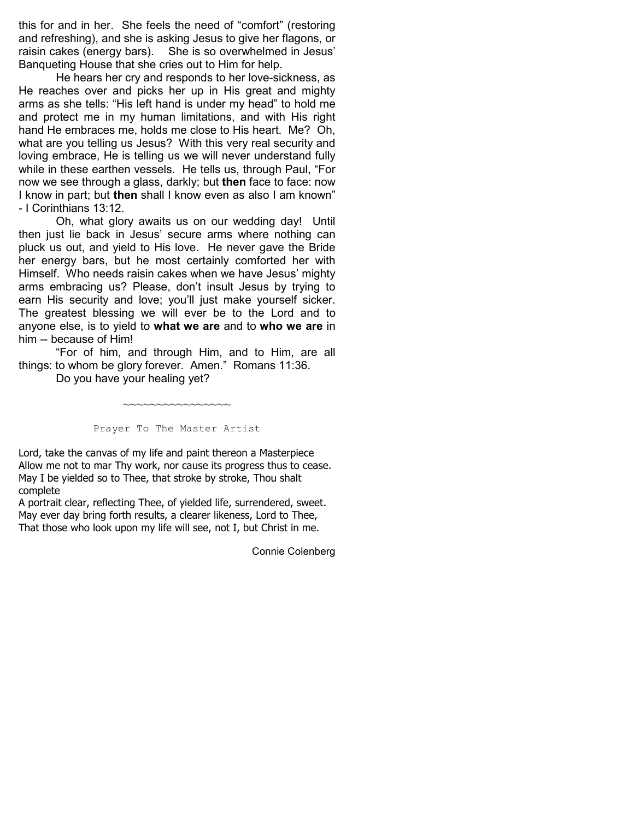this for and in her. She feels the need of "comfort" (restoring and refreshing), and she is asking Jesus to give her flagons, or raisin cakes (energy bars). She is so overwhelmed in Jesus' Banqueting House that she cries out to Him for help.

 He hears her cry and responds to her love-sickness, as He reaches over and picks her up in His great and mighty arms as she tells: "His left hand is under my head" to hold me and protect me in my human limitations, and with His right hand He embraces me, holds me close to His heart. Me? Oh, what are you telling us Jesus? With this very real security and loving embrace, He is telling us we will never understand fully while in these earthen vessels. He tells us, through Paul, "For now we see through a glass, darkly; but then face to face: now I know in part; but then shall I know even as also I am known" - I Corinthians 13:12.

 Oh, what glory awaits us on our wedding day! Until then just lie back in Jesus' secure arms where nothing can pluck us out, and yield to His love. He never gave the Bride her energy bars, but he most certainly comforted her with Himself. Who needs raisin cakes when we have Jesus' mighty arms embracing us? Please, don't insult Jesus by trying to earn His security and love; you'll just make yourself sicker. The greatest blessing we will ever be to the Lord and to anyone else, is to yield to what we are and to who we are in him -- because of Him!

 "For of him, and through Him, and to Him, are all things: to whom be glory forever. Amen." Romans 11:36.

Do you have your healing yet?

Prayer To The Master Artist

~~~~~~~~~~~~~~

Lord, take the canvas of my life and paint thereon a Masterpiece Allow me not to mar Thy work, nor cause its progress thus to cease. May I be yielded so to Thee, that stroke by stroke, Thou shalt complete

A portrait clear, reflecting Thee, of yielded life, surrendered, sweet. May ever day bring forth results, a clearer likeness, Lord to Thee, That those who look upon my life will see, not I, but Christ in me.

Connie Colenberg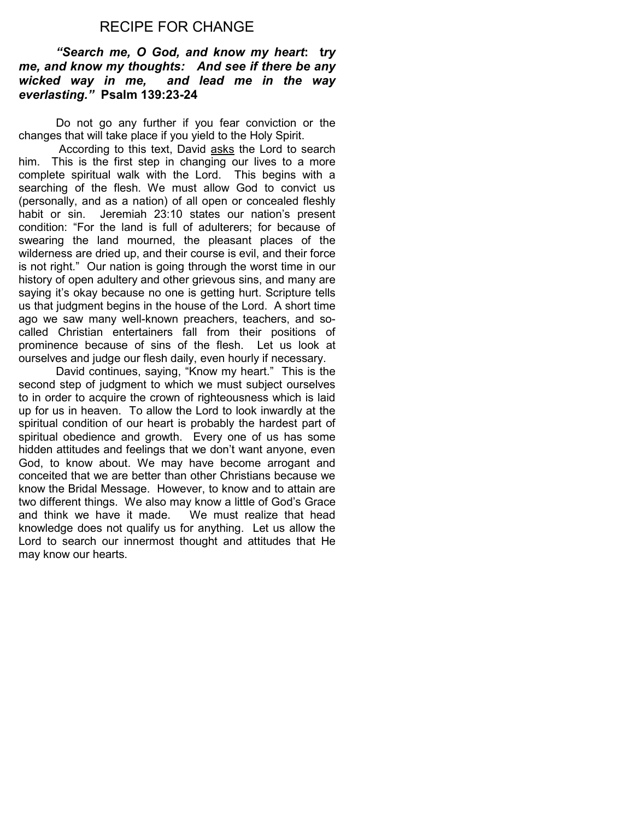# RECIPE FOR CHANGE

## "Search me, O God, and know my heart: try me, and know my thoughts: And see if there be any wicked way in me, and lead me in the way everlasting." Psalm 139:23-24

Do not go any further if you fear conviction or the changes that will take place if you yield to the Holy Spirit.

 According to this text, David asks the Lord to search him. This is the first step in changing our lives to a more complete spiritual walk with the Lord. This begins with a searching of the flesh. We must allow God to convict us (personally, and as a nation) of all open or concealed fleshly habit or sin. Jeremiah 23:10 states our nation's present condition: "For the land is full of adulterers; for because of swearing the land mourned, the pleasant places of the wilderness are dried up, and their course is evil, and their force is not right." Our nation is going through the worst time in our history of open adultery and other grievous sins, and many are saying it's okay because no one is getting hurt. Scripture tells us that judgment begins in the house of the Lord. A short time ago we saw many well-known preachers, teachers, and socalled Christian entertainers fall from their positions of prominence because of sins of the flesh. Let us look at ourselves and judge our flesh daily, even hourly if necessary.

 David continues, saying, "Know my heart." This is the second step of judgment to which we must subject ourselves to in order to acquire the crown of righteousness which is laid up for us in heaven. To allow the Lord to look inwardly at the spiritual condition of our heart is probably the hardest part of spiritual obedience and growth. Every one of us has some hidden attitudes and feelings that we don't want anyone, even God, to know about. We may have become arrogant and conceited that we are better than other Christians because we know the Bridal Message. However, to know and to attain are two different things. We also may know a little of God's Grace and think we have it made. We must realize that head knowledge does not qualify us for anything. Let us allow the Lord to search our innermost thought and attitudes that He may know our hearts.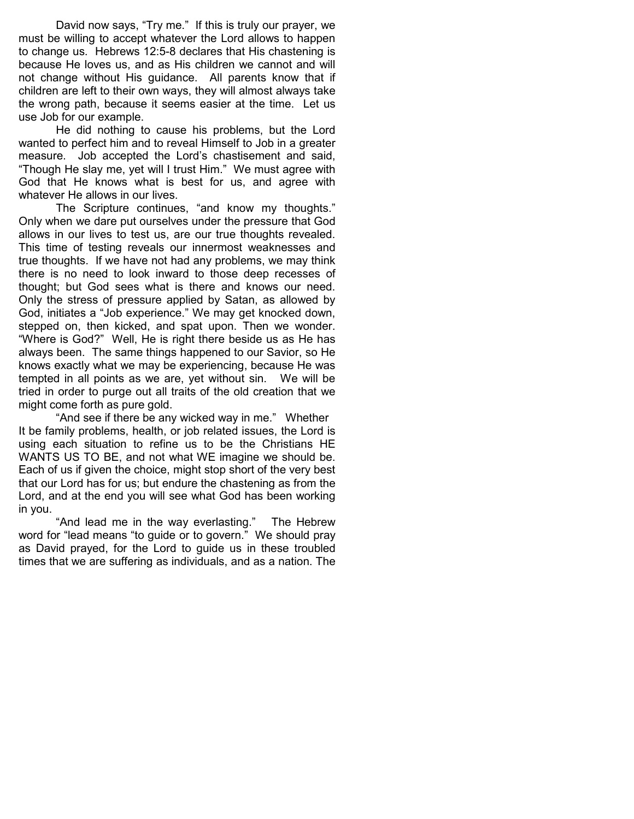David now says, "Try me." If this is truly our prayer, we must be willing to accept whatever the Lord allows to happen to change us. Hebrews 12:5-8 declares that His chastening is because He loves us, and as His children we cannot and will not change without His guidance. All parents know that if children are left to their own ways, they will almost always take the wrong path, because it seems easier at the time. Let us use Job for our example.

He did nothing to cause his problems, but the Lord wanted to perfect him and to reveal Himself to Job in a greater measure. Job accepted the Lord's chastisement and said, "Though He slay me, yet will I trust Him." We must agree with God that He knows what is best for us, and agree with whatever He allows in our lives.

 The Scripture continues, "and know my thoughts." Only when we dare put ourselves under the pressure that God allows in our lives to test us, are our true thoughts revealed. This time of testing reveals our innermost weaknesses and true thoughts. If we have not had any problems, we may think there is no need to look inward to those deep recesses of thought; but God sees what is there and knows our need. Only the stress of pressure applied by Satan, as allowed by God, initiates a "Job experience." We may get knocked down, stepped on, then kicked, and spat upon. Then we wonder. "Where is God?" Well, He is right there beside us as He has always been. The same things happened to our Savior, so He knows exactly what we may be experiencing, because He was tempted in all points as we are, yet without sin. We will be tried in order to purge out all traits of the old creation that we might come forth as pure gold.

"And see if there be any wicked way in me." Whether It be family problems, health, or job related issues, the Lord is using each situation to refine us to be the Christians HE WANTS US TO BE, and not what WE imagine we should be. Each of us if given the choice, might stop short of the very best that our Lord has for us; but endure the chastening as from the Lord, and at the end you will see what God has been working in you.

 "And lead me in the way everlasting." The Hebrew word for "lead means "to guide or to govern." We should pray as David prayed, for the Lord to guide us in these troubled times that we are suffering as individuals, and as a nation. The